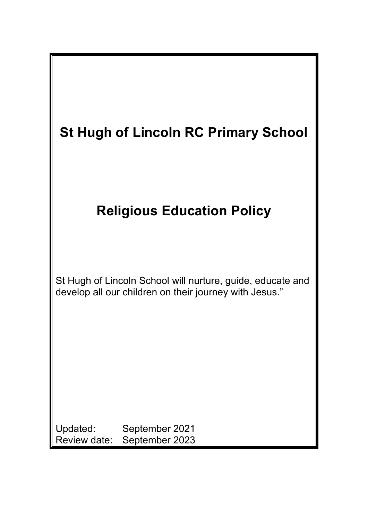| <b>St Hugh of Lincoln RC Primary School</b>                                                                          |
|----------------------------------------------------------------------------------------------------------------------|
| <b>Religious Education Policy</b>                                                                                    |
| St Hugh of Lincoln School will nurture, guide, educate and<br>develop all our children on their journey with Jesus." |
| Updated:<br>September 2021<br>Review date:<br>September 2023                                                         |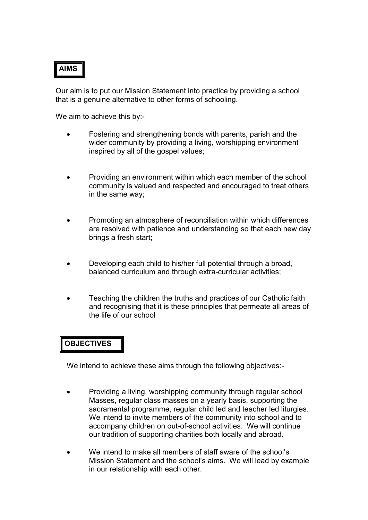# **AIMS**

Our aim is to put our Mission Statement into practice by providing a school that is a genuine alternative to other forms of schooling.

We aim to achieve this by:-

- Fostering and strengthening bonds with parents, parish and the wider community by providing a living, worshipping environment inspired by all of the gospel values;
- Providing an environment within which each member of the school community is valued and respected and encouraged to treat others in the same way;
- Promoting an atmosphere of reconciliation within which differences are resolved with patience and understanding so that each new day brings a fresh start;
- Developing each child to his/her full potential through a broad, balanced curriculum and through extra-curricular activities;
- Teaching the children the truths and practices of our Catholic faith and recognising that it is these principles that permeate all areas of the life of our school

## **OBJECTIVES**

We intend to achieve these aims through the following objectives:-

- Providing a living, worshipping community through regular school Masses, regular class masses on a yearly basis, supporting the sacramental programme, regular child led and teacher led liturgies. We intend to invite members of the community into school and to accompany children on out-of-school activities. We will continue our tradition of supporting charities both locally and abroad.
- We intend to make all members of staff aware of the school's Mission Statement and the school's aims. We will lead by example in our relationship with each other.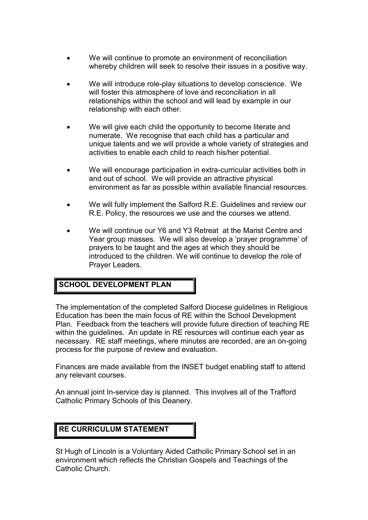- We will continue to promote an environment of reconciliation whereby children will seek to resolve their issues in a positive way.
- We will introduce role-play situations to develop conscience. We will foster this atmosphere of love and reconciliation in all relationships within the school and will lead by example in our relationship with each other.
- We will give each child the opportunity to become literate and numerate. We recognise that each child has a particular and unique talents and we will provide a whole variety of strategies and activities to enable each child to reach his/her potential.
- We will encourage participation in extra-curricular activities both in and out of school. We will provide an attractive physical environment as far as possible within available financial resources.
- We will fully implement the Salford R.E. Guidelines and review our R.E. Policy, the resources we use and the courses we attend.
- We will continue our Y6 and Y3 Retreat at the Marist Centre and Year group masses. We will also develop a 'prayer programme' of prayers to be taught and the ages at which they should be introduced to the children. We will continue to develop the role of Prayer Leaders.

### **SCHOOL DEVELOPMENT PLAN**

The implementation of the completed Salford Diocese guidelines in Religious Education has been the main focus of RE within the School Development Plan. Feedback from the teachers will provide future direction of teaching RE within the quidelines. An update in RE resources will continue each year as necessary. RE staff meetings, where minutes are recorded, are an on-going process for the purpose of review and evaluation.

Finances are made available from the INSET budget enabling staff to attend any relevant courses.

An annual joint In-service day is planned. This involves all of the Trafford Catholic Primary Schools of this Deanery.

### **RE CURRICULUM STATEMENT**

St Hugh of Lincoln is a Voluntary Aided Catholic Primary School set in an environment which reflects the Christian Gospels and Teachings of the Catholic Church.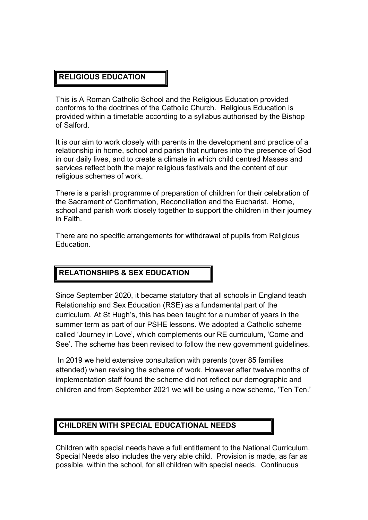## **RELIGIOUS EDUCATION**

This is A Roman Catholic School and the Religious Education provided conforms to the doctrines of the Catholic Church. Religious Education is provided within a timetable according to a syllabus authorised by the Bishop of Salford.

It is our aim to work closely with parents in the development and practice of a relationship in home, school and parish that nurtures into the presence of God in our daily lives, and to create a climate in which child centred Masses and services reflect both the major religious festivals and the content of our religious schemes of work.

There is a parish programme of preparation of children for their celebration of the Sacrament of Confirmation, Reconciliation and the Eucharist. Home, school and parish work closely together to support the children in their journey in Faith.

There are no specific arrangements for withdrawal of pupils from Religious Education.

## **RELATIONSHIPS & SEX EDUCATION**

Since September 2020, it became statutory that all schools in England teach Relationship and Sex Education (RSE) as a fundamental part of the curriculum. At St Hugh's, this has been taught for a number of years in the summer term as part of our PSHE lessons. We adopted a Catholic scheme called 'Journey in Love', which complements our RE curriculum, 'Come and See'. The scheme has been revised to follow the new government guidelines.

In 2019 we held extensive consultation with parents (over 85 families attended) when revising the scheme of work. However after twelve months of implementation staff found the scheme did not reflect our demographic and children and from September 2021 we will be using a new scheme, 'Ten Ten.'

### **CHILDREN WITH SPECIAL EDUCATIONAL NEEDS**

Children with special needs have a full entitlement to the National Curriculum. Special Needs also includes the very able child. Provision is made, as far as possible, within the school, for all children with special needs. Continuous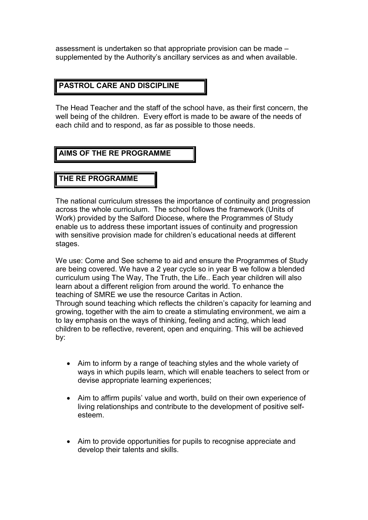assessment is undertaken so that appropriate provision can be made – supplemented by the Authority's ancillary services as and when available.

### **PASTROL CARE AND DISCIPLINE**

The Head Teacher and the staff of the school have, as their first concern, the well being of the children. Every effort is made to be aware of the needs of each child and to respond, as far as possible to those needs.

#### **AIMS OF THE RE PROGRAMME**

#### **THE RE PROGRAMME**

The national curriculum stresses the importance of continuity and progression across the whole curriculum. The school follows the framework (Units of Work) provided by the Salford Diocese, where the Programmes of Study enable us to address these important issues of continuity and progression with sensitive provision made for children's educational needs at different stages.

We use: Come and See scheme to aid and ensure the Programmes of Study are being covered. We have a 2 year cycle so in year B we follow a blended curriculum using The Way, The Truth, the Life.. Each year children will also learn about a different religion from around the world. To enhance the teaching of SMRE we use the resource Caritas in Action. Through sound teaching which reflects the children's capacity for learning and growing, together with the aim to create a stimulating environment, we aim a to lay emphasis on the ways of thinking, feeling and acting, which lead children to be reflective, reverent, open and enquiring. This will be achieved by:

- Aim to inform by a range of teaching styles and the whole variety of ways in which pupils learn, which will enable teachers to select from or devise appropriate learning experiences;
- Aim to affirm pupils' value and worth, build on their own experience of living relationships and contribute to the development of positive selfesteem.
- Aim to provide opportunities for pupils to recognise appreciate and develop their talents and skills.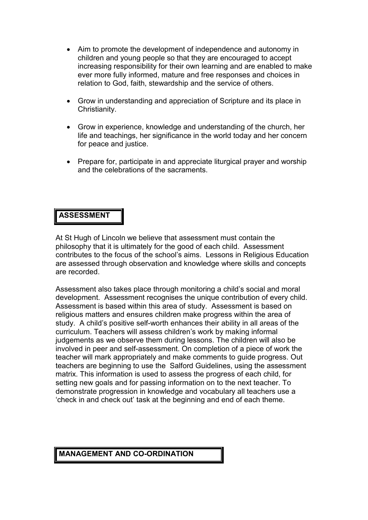- Aim to promote the development of independence and autonomy in children and young people so that they are encouraged to accept increasing responsibility for their own learning and are enabled to make ever more fully informed, mature and free responses and choices in relation to God, faith, stewardship and the service of others.
- Grow in understanding and appreciation of Scripture and its place in Christianity.
- Grow in experience, knowledge and understanding of the church, her life and teachings, her significance in the world today and her concern for peace and justice.
- Prepare for, participate in and appreciate liturgical prayer and worship and the celebrations of the sacraments.

### **ASSESSMENT**

At St Hugh of Lincoln we believe that assessment must contain the philosophy that it is ultimately for the good of each child. Assessment contributes to the focus of the school's aims. Lessons in Religious Education are assessed through observation and knowledge where skills and concepts are recorded.

Assessment also takes place through monitoring a child's social and moral development. Assessment recognises the unique contribution of every child. Assessment is based within this area of study. Assessment is based on religious matters and ensures children make progress within the area of study. A child's positive self-worth enhances their ability in all areas of the curriculum. Teachers will assess children's work by making informal judgements as we observe them during lessons. The children will also be involved in peer and self-assessment. On completion of a piece of work the teacher will mark appropriately and make comments to guide progress. Out teachers are beginning to use the Salford Guidelines, using the assessment matrix. This information is used to assess the progress of each child, for setting new goals and for passing information on to the next teacher. To demonstrate progression in knowledge and vocabulary all teachers use a 'check in and check out' task at the beginning and end of each theme.

#### **MANAGEMENT AND CO-ORDINATION**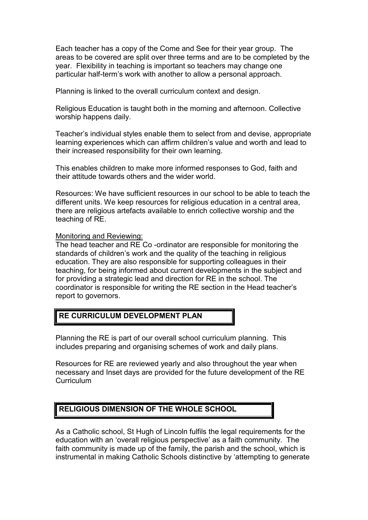Each teacher has a copy of the Come and See for their year group. The areas to be covered are split over three terms and are to be completed by the year. Flexibility in teaching is important so teachers may change one particular half-term's work with another to allow a personal approach.

Planning is linked to the overall curriculum context and design.

Religious Education is taught both in the morning and afternoon. Collective worship happens daily.

Teacher's individual styles enable them to select from and devise, appropriate learning experiences which can affirm children's value and worth and lead to their increased responsibility for their own learning.

This enables children to make more informed responses to God, faith and their attitude towards others and the wider world.

Resources: We have sufficient resources in our school to be able to teach the different units. We keep resources for religious education in a central area, there are religious artefacts available to enrich collective worship and the teaching of RE.

#### Monitoring and Reviewing:

The head teacher and RE Co -ordinator are responsible for monitoring the standards of children's work and the quality of the teaching in religious education. They are also responsible for supporting colleagues in their teaching, for being informed about current developments in the subject and for providing a strategic lead and direction for RE in the school. The coordinator is responsible for writing the RE section in the Head teacher's report to governors.

### **RE CURRICULUM DEVELOPMENT PLAN**

Planning the RE is part of our overall school curriculum planning. This includes preparing and organising schemes of work and daily plans.

Resources for RE are reviewed yearly and also throughout the year when necessary and Inset days are provided for the future development of the RE Curriculum

### **RELIGIOUS DIMENSION OF THE WHOLE SCHOOL**

As a Catholic school, St Hugh of Lincoln fulfils the legal requirements for the education with an 'overall religious perspective' as a faith community. The faith community is made up of the family, the parish and the school, which is instrumental in making Catholic Schools distinctive by 'attempting to generate